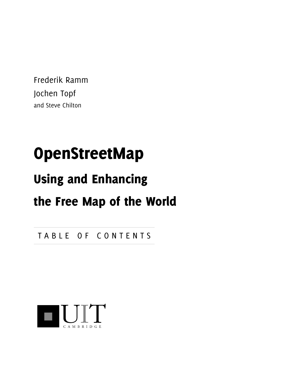Frederik Ramm Jochen Topf and Steve Chilton

# OpenStreetMap

# Using and Enhancing

# the Free Map of the World

TABLE OF CONTENTS

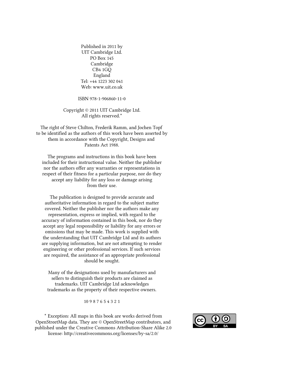Published in 2011 by UIT Cambridge Ltd. PO Box 145 Cambridge CB4 1GQ England Tel: +44 1223 302 041 Web: www.uit.co.uk

ISBN 978-1-906860-11-0

Copyright © 2011 UIT Cambridge Ltd. All rights reserved.\*

The right of Steve Chilton, Frederik Ramm, and Jochen Topf to be identified as the authors of this work have been asserted by them in accordance with the Copyright, Designs and Patents Act 1988.

The programs and instructions in this book have been included for their instructional value. Neither the publisher nor the authors offer any warranties or representations in respect of their fitness for a particular purpose, nor do they accept any liability for any loss or damage arising from their use.

The publication is designed to provide accurate and authoritative information in regard to the subject matter covered. Neither the publisher nor the authors make any representation, express or implied, with regard to the accuracy of information contained in this book, nor do they accept any legal responsibility or liability for any errors or omissions that may be made. This work is supplied with the understanding that UIT Cambridge Ltd and its authors are supplying information, but are not attempting to render engineering or other professional services. If such services are required, the assistance of an appropriate professional should be sought.

Many of the designations used by manufacturers and sellers to distinguish their products are claimed as trademarks. UIT Cambridge Ltd acknowledges trademarks as the property of their respective owners.

10 9 8 7 6 5 4 3 2 1

\* Exception: All maps in this book are works derived from OpenStreetMap data. They are © OpenStreetMap contributors, and published under the Creative Commons Attribution-Share Alike 2.0 license: http://creativecommons.org/licenses/by-sa/2.0/

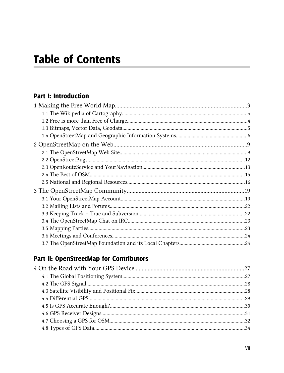## **Table of Contents**

#### **Part I: Introduction**

#### Part II: OpenStreetMap for Contributors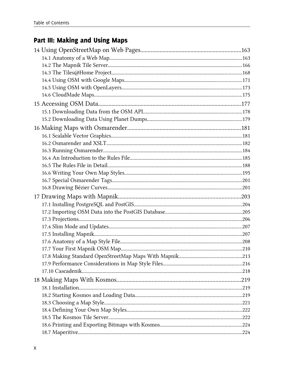## Part III: Making and Using Maps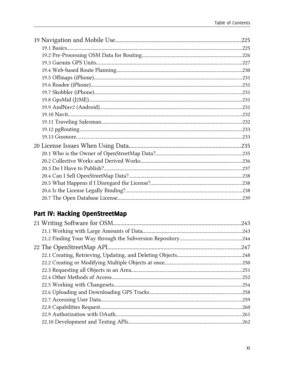## Part IV: Hacking OpenStreetMap